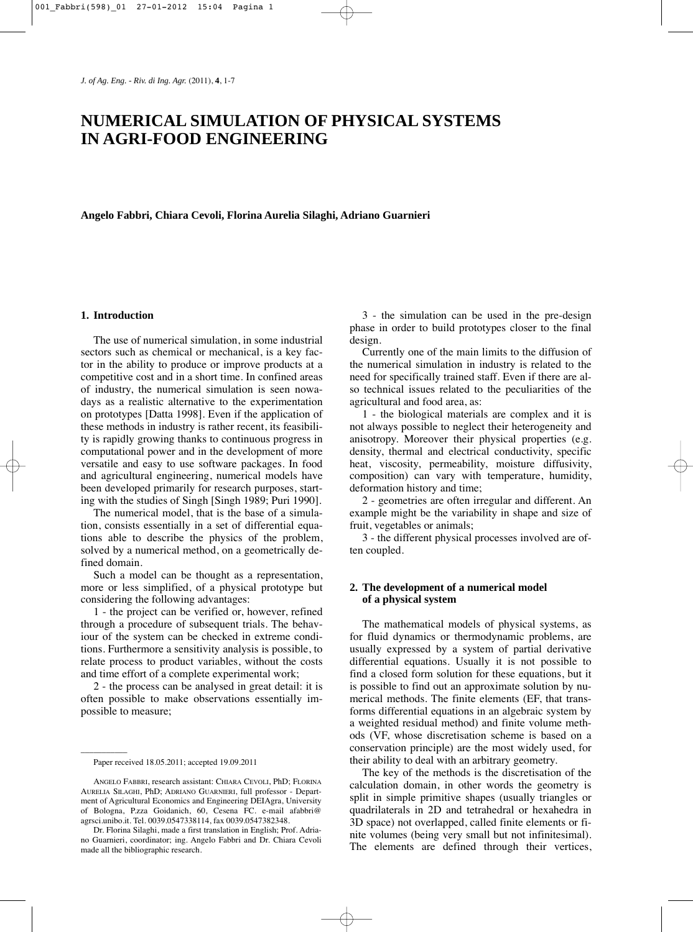*J. of Ag. Eng. - Riv. di Ing. Agr.* (2011), **4**, 1-7

# **NUMERICAL SIMULATION OF PHYSICAL SYSTEMS IN AGRI-FOOD ENGINEERING**

### **Angelo Fabbri, Chiara Cevoli, Florina Aurelia Silaghi, Adriano Guarnieri**

### **1. Introduction**

The use of numerical simulation, in some industrial sectors such as chemical or mechanical, is a key factor in the ability to produce or improve products at a competitive cost and in a short time. In confined areas of industry, the numerical simulation is seen nowadays as a realistic alternative to the experimentation on prototypes [Datta 1998]. Even if the application of these methods in industry is rather recent, its feasibility is rapidly growing thanks to continuous progress in computational power and in the development of more versatile and easy to use software packages. In food and agricultural engineering, numerical models have been developed primarily for research purposes, starting with the studies of Singh [Singh 1989; Puri 1990].

The numerical model, that is the base of a simulation, consists essentially in a set of differential equations able to describe the physics of the problem, solved by a numerical method, on a geometrically defined domain.

Such a model can be thought as a representation, more or less simplified, of a physical prototype but considering the following advantages:

1 - the project can be verified or, however, refined through a procedure of subsequent trials. The behaviour of the system can be checked in extreme conditions. Furthermore a sensitivity analysis is possible, to relate process to product variables, without the costs and time effort of a complete experimental work;

2 - the process can be analysed in great detail: it is often possible to make observations essentially impossible to measure;

 $\overline{\phantom{a}}$ 

3 - the simulation can be used in the pre-design phase in order to build prototypes closer to the final design.

Currently one of the main limits to the diffusion of the numerical simulation in industry is related to the need for specifically trained staff. Even if there are also technical issues related to the peculiarities of the agricultural and food area, as:

1 - the biological materials are complex and it is not always possible to neglect their heterogeneity and anisotropy. Moreover their physical properties (e.g. density, thermal and electrical conductivity, specific heat, viscosity, permeability, moisture diffusivity, composition) can vary with temperature, humidity, deformation history and time;

2 - geometries are often irregular and different. An example might be the variability in shape and size of fruit, vegetables or animals;

3 - the different physical processes involved are often coupled.

## **2. The development of a numerical model of a physical system**

The mathematical models of physical systems, as for fluid dynamics or thermodynamic problems, are usually expressed by a system of partial derivative differential equations. Usually it is not possible to find a closed form solution for these equations, but it is possible to find out an approximate solution by numerical methods. The finite elements (EF, that transforms differential equations in an algebraic system by a weighted residual method) and finite volume methods (VF, whose discretisation scheme is based on a conservation principle) are the most widely used, for their ability to deal with an arbitrary geometry.

The key of the methods is the discretisation of the calculation domain, in other words the geometry is split in simple primitive shapes (usually triangles or quadrilaterals in 2D and tetrahedral or hexahedra in 3D space) not overlapped, called finite elements or finite volumes (being very small but not infinitesimal). The elements are defined through their vertices,

Paper received 18.05.2011; accepted 19.09.2011

ANGELO FABBRI, research assistant: CHIARA CEVOLI, PhD; FLORINA AURELIA SILAGHI, PhD; ADRIANO GUARNIERI, full professor - Department of Agricultural Economics and Engineering DEIAgra, University of Bologna, P.zza Goidanich, 60, Cesena FC. e-mail afabbri@ agrsci.unibo.it. Tel. 0039.0547338114, fax 0039.0547382348.

Dr. Florina Silaghi, made a first translation in English; Prof. Adriano Guarnieri, coordinator; ing. Angelo Fabbri and Dr. Chiara Cevoli made all the bibliographic research.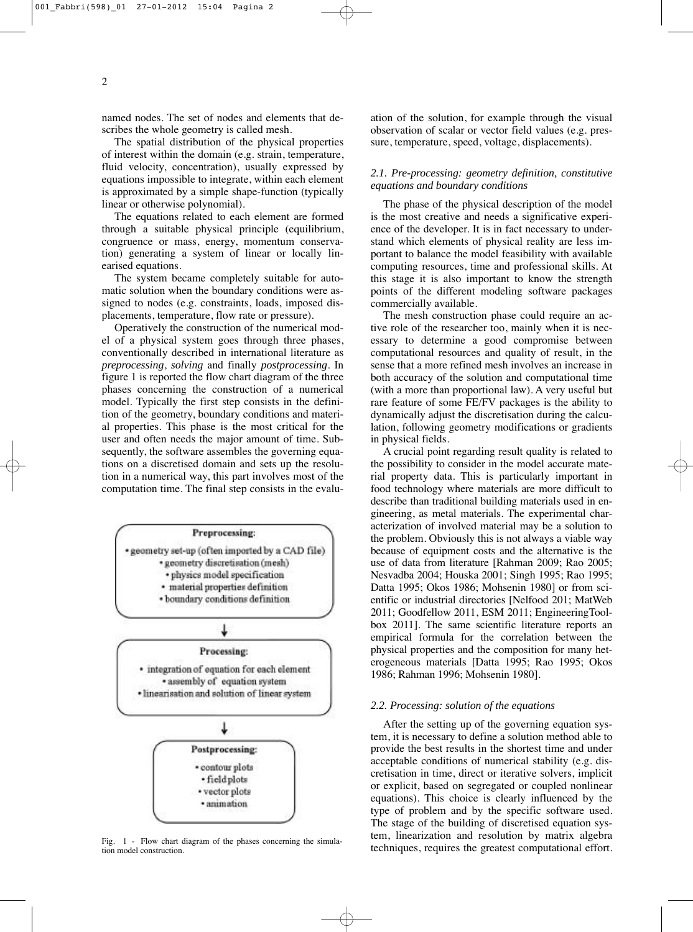2

named nodes. The set of nodes and elements that describes the whole geometry is called mesh.

The spatial distribution of the physical properties of interest within the domain (e.g. strain, temperature, fluid velocity, concentration), usually expressed by equations impossible to integrate, within each element is approximated by a simple shape-function (typically linear or otherwise polynomial).

The equations related to each element are formed through a suitable physical principle (equilibrium, congruence or mass, energy, momentum conservation) generating a system of linear or locally linearised equations.

The system became completely suitable for automatic solution when the boundary conditions were assigned to nodes (e.g. constraints, loads, imposed displacements, temperature, flow rate or pressure).

Operatively the construction of the numerical model of a physical system goes through three phases, conventionally described in international literature as *preprocessing*, *solving* and finally *postprocessing*. In figure 1 is reported the flow chart diagram of the three phases concerning the construction of a numerical model. Typically the first step consists in the definition of the geometry, boundary conditions and material properties. This phase is the most critical for the user and often needs the major amount of time. Subsequently, the software assembles the governing equations on a discretised domain and sets up the resolution in a numerical way, this part involves most of the computation time. The final step consists in the evalu-



Fig. 1 - Flow chart diagram of the phases concerning the simulation model construction.

ation of the solution, for example through the visual observation of scalar or vector field values (e.g. pressure, temperature, speed, voltage, displacements).

## *2.1. Pre-processing: geometry definition, constitutive equations and boundary conditions*

The phase of the physical description of the model is the most creative and needs a significative experience of the developer. It is in fact necessary to understand which elements of physical reality are less important to balance the model feasibility with available computing resources, time and professional skills. At this stage it is also important to know the strength points of the different modeling software packages commercially available.

The mesh construction phase could require an active role of the researcher too, mainly when it is necessary to determine a good compromise between computational resources and quality of result, in the sense that a more refined mesh involves an increase in both accuracy of the solution and computational time (with a more than proportional law). A very useful but rare feature of some FE/FV packages is the ability to dynamically adjust the discretisation during the calculation, following geometry modifications or gradients in physical fields.

A crucial point regarding result quality is related to the possibility to consider in the model accurate material property data. This is particularly important in food technology where materials are more difficult to describe than traditional building materials used in engineering, as metal materials. The experimental characterization of involved material may be a solution to the problem. Obviously this is not always a viable way because of equipment costs and the alternative is the use of data from literature [Rahman 2009; Rao 2005; Nesvadba 2004; Houska 2001; Singh 1995; Rao 1995; Datta 1995; Okos 1986; Mohsenin 1980] or from scientific or industrial directories [Nelfood 201; MatWeb 2011; Goodfellow 2011, ESM 2011; EngineeringToolbox 2011]. The same scientific literature reports an empirical formula for the correlation between the physical properties and the composition for many heterogeneous materials [Datta 1995; Rao 1995; Okos 1986; Rahman 1996; Mohsenin 1980].

## *2.2. Processing: solution of the equations*

After the setting up of the governing equation system, it is necessary to define a solution method able to provide the best results in the shortest time and under acceptable conditions of numerical stability (e.g. discretisation in time, direct or iterative solvers, implicit or explicit, based on segregated or coupled nonlinear equations). This choice is clearly influenced by the type of problem and by the specific software used. The stage of the building of discretised equation system, linearization and resolution by matrix algebra techniques, requires the greatest computational effort.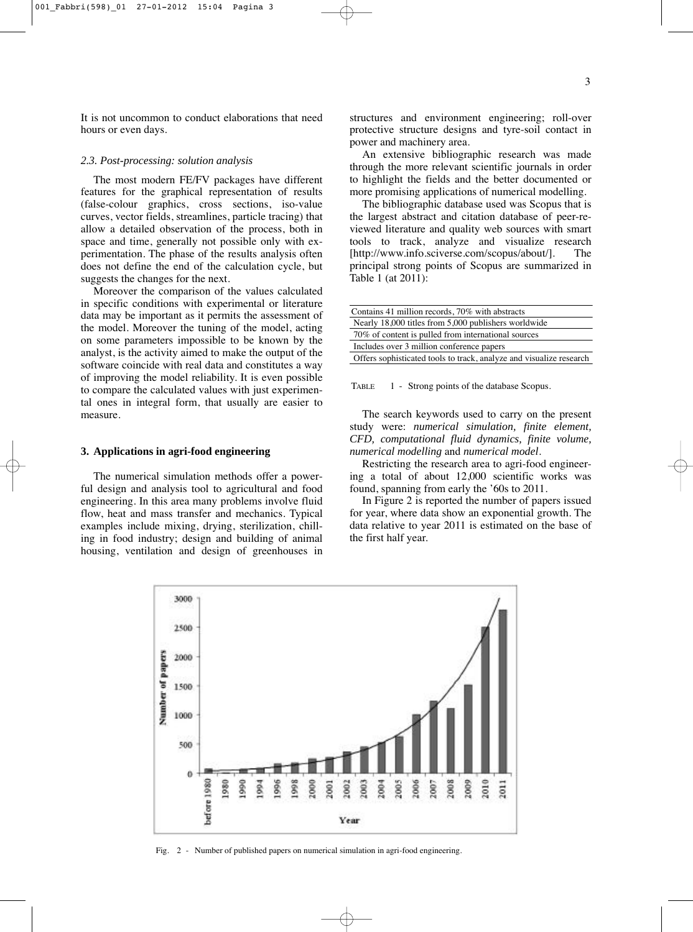It is not uncommon to conduct elaborations that need hours or even days.

## *2.3. Post-processing: solution analysis*

The most modern FE/FV packages have different features for the graphical representation of results (false-colour graphics, cross sections, iso-value curves, vector fields, streamlines, particle tracing) that allow a detailed observation of the process, both in space and time, generally not possible only with experimentation. The phase of the results analysis often does not define the end of the calculation cycle, but suggests the changes for the next.

Moreover the comparison of the values calculated in specific conditions with experimental or literature data may be important as it permits the assessment of the model. Moreover the tuning of the model, acting on some parameters impossible to be known by the analyst, is the activity aimed to make the output of the software coincide with real data and constitutes a way of improving the model reliability. It is even possible to compare the calculated values with just experimental ones in integral form, that usually are easier to measure.

#### **3. Applications in agri-food engineering**

The numerical simulation methods offer a powerful design and analysis tool to agricultural and food engineering. In this area many problems involve fluid flow, heat and mass transfer and mechanics. Typical examples include mixing, drying, sterilization, chilling in food industry; design and building of animal housing, ventilation and design of greenhouses in structures and environment engineering; roll-over protective structure designs and tyre-soil contact in power and machinery area.

An extensive bibliographic research was made through the more relevant scientific journals in order to highlight the fields and the better documented or more promising applications of numerical modelling.

The bibliographic database used was Scopus that is the largest abstract and citation database of peer-reviewed literature and quality web sources with smart tools to track, analyze and visualize research [http://www.info.sciverse.com/scopus/about/]. The principal strong points of Scopus are summarized in Table 1 (at 2011):

| Contains 41 million records, 70% with abstracts                     |  |  |  |  |
|---------------------------------------------------------------------|--|--|--|--|
| Nearly 18,000 titles from 5,000 publishers worldwide                |  |  |  |  |
| 70% of content is pulled from international sources                 |  |  |  |  |
| Includes over 3 million conference papers                           |  |  |  |  |
| Offers sophisticated tools to track, analyze and visualize research |  |  |  |  |

TABLE 1 - Strong points of the database Scopus.

The search keywords used to carry on the present study were: *numerical simulation, finite element, CFD, computational fluid dynamics, finite volume, numerical modelling* and *numerical model*.

Restricting the research area to agri-food engineering a total of about 12,000 scientific works was found, spanning from early the '60s to 2011.

In Figure 2 is reported the number of papers issued for year, where data show an exponential growth. The data relative to year 2011 is estimated on the base of the first half year.



Fig. 2 - Number of published papers on numerical simulation in agri-food engineering.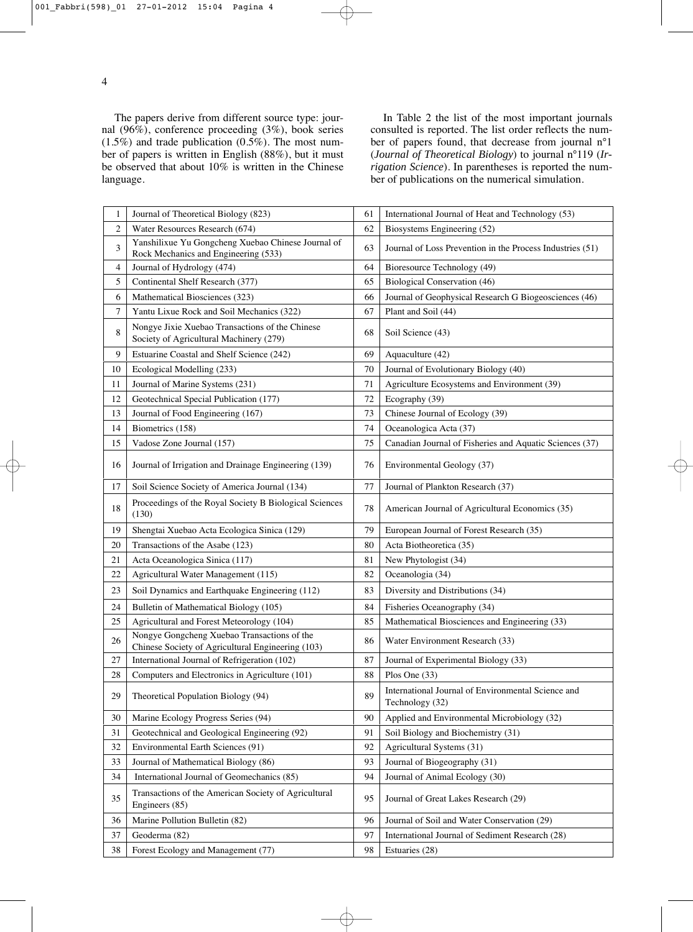4

The papers derive from different source type: journal (96%), conference proceeding (3%), book series  $(1.5\%)$  and trade publication  $(0.5\%)$ . The most number of papers is written in English (88%), but it must be observed that about 10% is written in the Chinese language.

In Table 2 the list of the most important journals consulted is reported. The list order reflects the number of papers found, that decrease from journal n°1 (*Journal of Theoretical Biology*) to journal n°119 (*Irrigation Science*). In parentheses is reported the number of publications on the numerical simulation.

| $\mathbf{1}$   | Journal of Theoretical Biology (823)                                                             | 61 | International Journal of Heat and Technology (53)                     |  |  |
|----------------|--------------------------------------------------------------------------------------------------|----|-----------------------------------------------------------------------|--|--|
| $\overline{c}$ | Water Resources Research (674)                                                                   | 62 | Biosystems Engineering (52)                                           |  |  |
| 3              | Yanshilixue Yu Gongcheng Xuebao Chinese Journal of<br>Rock Mechanics and Engineering (533)       | 63 | Journal of Loss Prevention in the Process Industries (51)             |  |  |
| 4              | Journal of Hydrology (474)                                                                       | 64 | Bioresource Technology (49)                                           |  |  |
| 5              | Continental Shelf Research (377)                                                                 | 65 | Biological Conservation (46)                                          |  |  |
| 6              | Mathematical Biosciences (323)                                                                   | 66 | Journal of Geophysical Research G Biogeosciences (46)                 |  |  |
| 7              | Yantu Lixue Rock and Soil Mechanics (322)                                                        | 67 | Plant and Soil (44)                                                   |  |  |
| 8              | Nongye Jixie Xuebao Transactions of the Chinese<br>Society of Agricultural Machinery (279)       | 68 | Soil Science (43)                                                     |  |  |
| 9              | Estuarine Coastal and Shelf Science (242)                                                        | 69 | Aquaculture (42)                                                      |  |  |
| 10             | Ecological Modelling (233)                                                                       | 70 | Journal of Evolutionary Biology (40)                                  |  |  |
| 11             | Journal of Marine Systems (231)                                                                  | 71 | Agriculture Ecosystems and Environment (39)                           |  |  |
| 12             | Geotechnical Special Publication (177)                                                           | 72 | Ecography (39)                                                        |  |  |
| 13             | Journal of Food Engineering (167)                                                                | 73 | Chinese Journal of Ecology (39)                                       |  |  |
| 14             | Biometrics (158)                                                                                 | 74 | Oceanologica Acta (37)                                                |  |  |
| 15             | Vadose Zone Journal (157)                                                                        | 75 | Canadian Journal of Fisheries and Aquatic Sciences (37)               |  |  |
| 16             | Journal of Irrigation and Drainage Engineering (139)                                             | 76 | Environmental Geology (37)                                            |  |  |
| 17             | Soil Science Society of America Journal (134)                                                    | 77 | Journal of Plankton Research (37)                                     |  |  |
| 18             | Proceedings of the Royal Society B Biological Sciences<br>(130)                                  | 78 | American Journal of Agricultural Economics (35)                       |  |  |
| 19             | Shengtai Xuebao Acta Ecologica Sinica (129)                                                      | 79 | European Journal of Forest Research (35)                              |  |  |
| 20             | Transactions of the Asabe (123)                                                                  | 80 | Acta Biotheoretica (35)                                               |  |  |
| 21             | Acta Oceanologica Sinica (117)                                                                   | 81 | New Phytologist (34)                                                  |  |  |
| 22             | Agricultural Water Management (115)                                                              | 82 | Oceanologia (34)                                                      |  |  |
| 23             | Soil Dynamics and Earthquake Engineering (112)                                                   | 83 | Diversity and Distributions (34)                                      |  |  |
| 24             | Bulletin of Mathematical Biology (105)                                                           | 84 | Fisheries Oceanography (34)                                           |  |  |
| 25             | Agricultural and Forest Meteorology (104)                                                        | 85 | Mathematical Biosciences and Engineering (33)                         |  |  |
| 26             | Nongye Gongcheng Xuebao Transactions of the<br>Chinese Society of Agricultural Engineering (103) | 86 | Water Environment Research (33)                                       |  |  |
| 27             | International Journal of Refrigeration (102)                                                     | 87 | Journal of Experimental Biology (33)                                  |  |  |
| 28             | Computers and Electronics in Agriculture (101)                                                   | 88 | Plos One $(33)$                                                       |  |  |
| 29             | Theoretical Population Biology (94)                                                              | 89 | International Journal of Environmental Science and<br>Technology (32) |  |  |
| 30             | Marine Ecology Progress Series (94)                                                              | 90 | Applied and Environmental Microbiology (32)                           |  |  |
| 31             | Geotechnical and Geological Engineering (92)                                                     | 91 | Soil Biology and Biochemistry (31)                                    |  |  |
| 32             | Environmental Earth Sciences (91)                                                                | 92 | Agricultural Systems (31)                                             |  |  |
| 33             | Journal of Mathematical Biology (86)                                                             | 93 | Journal of Biogeography (31)                                          |  |  |
| 34             | International Journal of Geomechanics (85)                                                       | 94 | Journal of Animal Ecology (30)                                        |  |  |
| 35             | Transactions of the American Society of Agricultural<br>Engineers (85)                           | 95 | Journal of Great Lakes Research (29)                                  |  |  |
| 36             | Marine Pollution Bulletin (82)                                                                   | 96 | Journal of Soil and Water Conservation (29)                           |  |  |
| 37             | Geoderma (82)                                                                                    | 97 | International Journal of Sediment Research (28)                       |  |  |
| 38             | Forest Ecology and Management (77)                                                               | 98 | Estuaries (28)                                                        |  |  |

 $\oplus$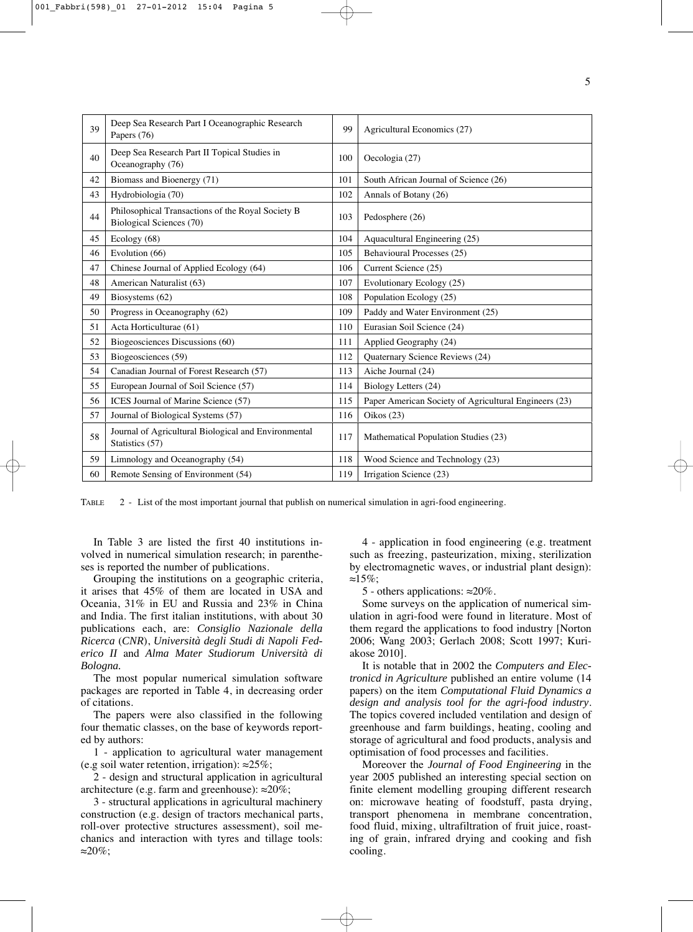| 39 | Deep Sea Research Part I Oceanographic Research<br>Papers (76)                | 99  | Agricultural Economics (27)                           |  |
|----|-------------------------------------------------------------------------------|-----|-------------------------------------------------------|--|
| 40 | Deep Sea Research Part II Topical Studies in<br>Oceanography (76)             | 100 | Oecologia (27)                                        |  |
| 42 | Biomass and Bioenergy (71)                                                    | 101 | South African Journal of Science (26)                 |  |
| 43 | Hydrobiologia (70)                                                            | 102 | Annals of Botany (26)                                 |  |
| 44 | Philosophical Transactions of the Royal Society B<br>Biological Sciences (70) | 103 | Pedosphere (26)                                       |  |
| 45 | Ecology (68)                                                                  | 104 | Aquacultural Engineering (25)                         |  |
| 46 | Evolution (66)                                                                | 105 | Behavioural Processes (25)                            |  |
| 47 | Chinese Journal of Applied Ecology (64)                                       | 106 | Current Science (25)                                  |  |
| 48 | American Naturalist (63)                                                      | 107 | Evolutionary Ecology (25)                             |  |
| 49 | Biosystems (62)                                                               | 108 | Population Ecology (25)                               |  |
| 50 | Progress in Oceanography (62)                                                 | 109 | Paddy and Water Environment (25)                      |  |
| 51 | Acta Horticulturae (61)                                                       | 110 | Eurasian Soil Science (24)                            |  |
| 52 | Biogeosciences Discussions (60)                                               | 111 | Applied Geography (24)                                |  |
| 53 | Biogeosciences (59)                                                           | 112 | Quaternary Science Reviews (24)                       |  |
| 54 | Canadian Journal of Forest Research (57)                                      | 113 | Aiche Journal (24)                                    |  |
| 55 | European Journal of Soil Science (57)                                         | 114 | Biology Letters (24)                                  |  |
| 56 | ICES Journal of Marine Science (57)                                           | 115 | Paper American Society of Agricultural Engineers (23) |  |
| 57 | Journal of Biological Systems (57)                                            | 116 | Oikos $(23)$                                          |  |
| 58 | Journal of Agricultural Biological and Environmental<br>Statistics (57)       | 117 | Mathematical Population Studies (23)                  |  |
| 59 | Limnology and Oceanography (54)                                               | 118 | Wood Science and Technology (23)                      |  |
| 60 | Remote Sensing of Environment (54)                                            | 119 | Irrigation Science (23)                               |  |

TABLE 2 - List of the most important journal that publish on numerical simulation in agri-food engineering.

In Table 3 are listed the first 40 institutions involved in numerical simulation research; in parentheses is reported the number of publications.

Grouping the institutions on a geographic criteria, it arises that 45% of them are located in USA and Oceania, 31% in EU and Russia and 23% in China and India. The first italian institutions, with about 30 publications each, are: *Consiglio Nazionale della Ricerca* (*CNR*), *Università degli Studi di Napoli Federico II* and *Alma Mater Studiorum Università di Bologna.*

The most popular numerical simulation software packages are reported in Table 4, in decreasing order of citations.

The papers were also classified in the following four thematic classes, on the base of keywords reported by authors:

1 - application to agricultural water management (e.g soil water retention, irrigation): ≈25%;

2 - design and structural application in agricultural architecture (e.g. farm and greenhouse):  $\approx 20\%$ ;

3 - structural applications in agricultural machinery construction (e.g. design of tractors mechanical parts, roll-over protective structures assessment), soil mechanics and interaction with tyres and tillage tools: ≈20%;

4 - application in food engineering (e.g. treatment such as freezing, pasteurization, mixing, sterilization by electromagnetic waves, or industrial plant design): ≈15%;

5 - others applications:  $\approx 20\%$ .

Some surveys on the application of numerical simulation in agri-food were found in literature. Most of them regard the applications to food industry [Norton 2006; Wang 2003; Gerlach 2008; Scott 1997; Kuriakose 2010].

It is notable that in 2002 the *Computers and Electronicd in Agriculture* published an entire volume (14 papers) on the item *Computational Fluid Dynamics a design and analysis tool for the agri-food industry*. The topics covered included ventilation and design of greenhouse and farm buildings, heating, cooling and storage of agricultural and food products, analysis and optimisation of food processes and facilities.

Moreover the *Journal of Food Engineering* in the year 2005 published an interesting special section on finite element modelling grouping different research on: microwave heating of foodstuff, pasta drying, transport phenomena in membrane concentration, food fluid, mixing, ultrafiltration of fruit juice, roasting of grain, infrared drying and cooking and fish cooling.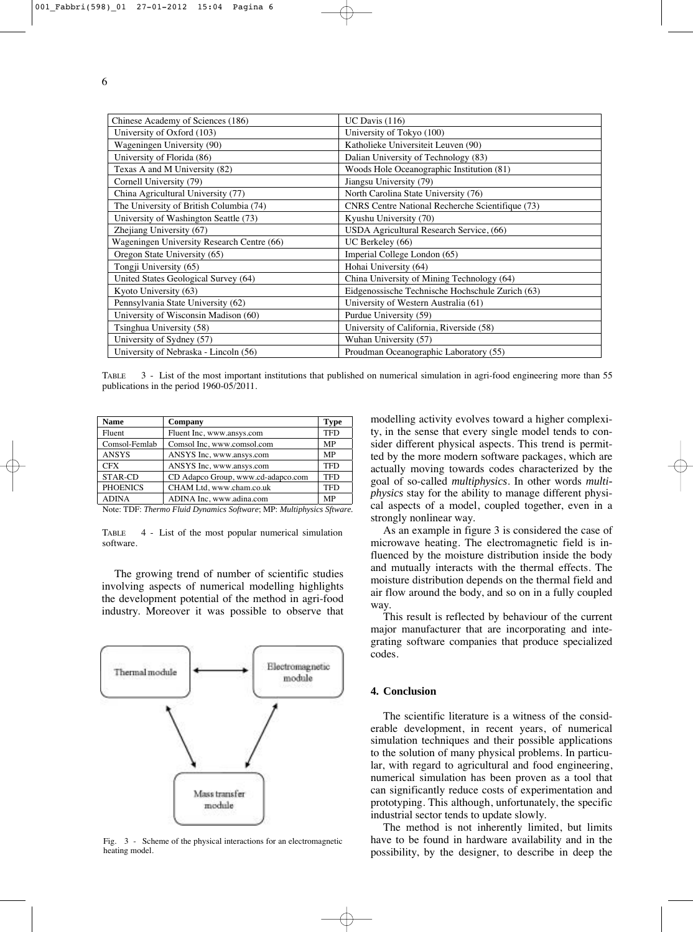| Chinese Academy of Sciences (186)          | UC Davis (116)                                          |
|--------------------------------------------|---------------------------------------------------------|
| University of Oxford (103)                 | University of Tokyo (100)                               |
| Wageningen University (90)                 | Katholieke Universiteit Leuven (90)                     |
| University of Florida (86)                 | Dalian University of Technology (83)                    |
| Texas A and M University (82)              | Woods Hole Oceanographic Institution (81)               |
| Cornell University (79)                    | Jiangsu University (79)                                 |
| China Agricultural University (77)         | North Carolina State University (76)                    |
| The University of British Columbia (74)    | <b>CNRS</b> Centre National Recherche Scientifique (73) |
| University of Washington Seattle (73)      | Kyushu University (70)                                  |
| Zhejiang University (67)                   | USDA Agricultural Research Service, (66)                |
| Wageningen University Research Centre (66) | UC Berkeley (66)                                        |
| Oregon State University (65)               | Imperial College London (65)                            |
| Tongji University (65)                     | Hohai University (64)                                   |
| United States Geological Survey (64)       | China University of Mining Technology (64)              |
| Kyoto University (63)                      | Eidgenossische Technische Hochschule Zurich (63)        |
| Pennsylvania State University (62)         | University of Western Australia (61)                    |
| University of Wisconsin Madison (60)       | Purdue University (59)                                  |
| Tsinghua University (58)                   | University of California, Riverside (58)                |
| University of Sydney (57)                  | Wuhan University (57)                                   |
| University of Nebraska - Lincoln (56)      | Proudman Oceanographic Laboratory (55)                  |

TABLE 3 - List of the most important institutions that published on numerical simulation in agri-food engineering more than 55 publications in the period 1960-05/2011.

| <b>Name</b>     | Company                            | <b>Type</b> |
|-----------------|------------------------------------|-------------|
| Fluent          | Fluent Inc, www.ansys.com          | TFD         |
| Comsol-Femlab   | Comsol Inc, www.comsol.com         | <b>MP</b>   |
| <b>ANSYS</b>    | ANSYS Inc, www.ansys.com           | <b>MP</b>   |
| <b>CFX</b>      | ANSYS Inc, www.ansys.com           | <b>TFD</b>  |
| STAR-CD         | CD Adapco Group, www.cd-adapco.com | <b>TFD</b>  |
| <b>PHOENICS</b> | CHAM Ltd, www.cham.co.uk           | TFD         |
| <b>ADINA</b>    | ADINA Inc, www.adina.com           | MP          |

Note: TDF: *Thermo Fluid Dynamics Software*; MP: *Multiphysics Sftware.*

TABLE 4 - List of the most popular numerical simulation software.

The growing trend of number of scientific studies involving aspects of numerical modelling highlights the development potential of the method in agri-food industry. Moreover it was possible to observe that



Fig. 3 - Scheme of the physical interactions for an electromagnetic heating model.

modelling activity evolves toward a higher complexity, in the sense that every single model tends to consider different physical aspects. This trend is permitted by the more modern software packages, which are actually moving towards codes characterized by the goal of so-called *multiphysics*. In other words *multiphysics* stay for the ability to manage different physical aspects of a model, coupled together, even in a strongly nonlinear way.

As an example in figure 3 is considered the case of microwave heating. The electromagnetic field is influenced by the moisture distribution inside the body and mutually interacts with the thermal effects. The moisture distribution depends on the thermal field and air flow around the body, and so on in a fully coupled way.

This result is reflected by behaviour of the current major manufacturer that are incorporating and integrating software companies that produce specialized codes.

## **4. Conclusion**

The scientific literature is a witness of the considerable development, in recent years, of numerical simulation techniques and their possible applications to the solution of many physical problems. In particular, with regard to agricultural and food engineering, numerical simulation has been proven as a tool that can significantly reduce costs of experimentation and prototyping. This although, unfortunately, the specific industrial sector tends to update slowly.

The method is not inherently limited, but limits have to be found in hardware availability and in the possibility, by the designer, to describe in deep the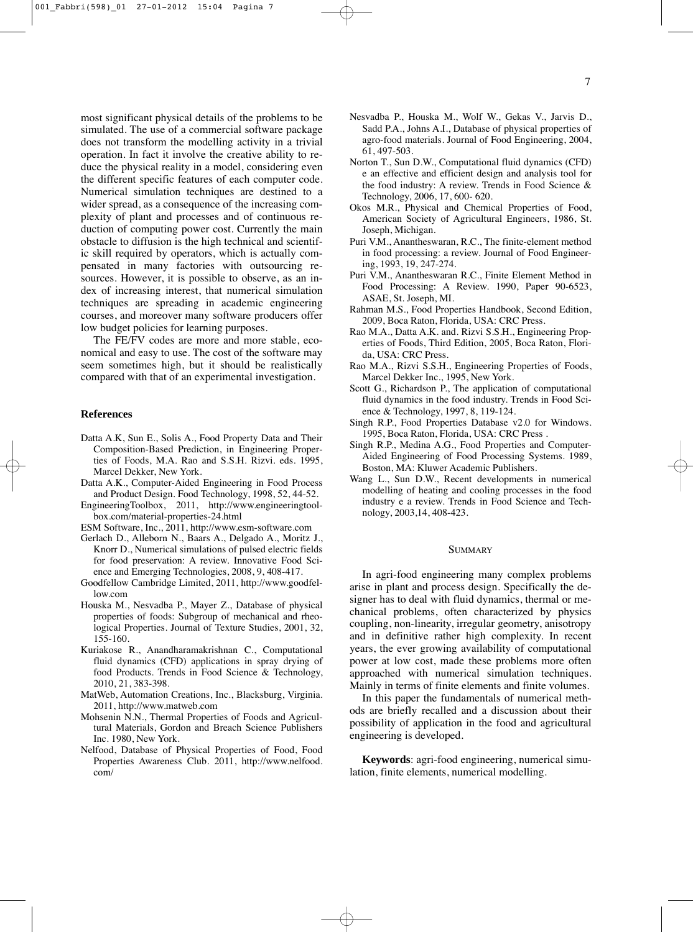most significant physical details of the problems to be simulated. The use of a commercial software package does not transform the modelling activity in a trivial operation. In fact it involve the creative ability to reduce the physical reality in a model, considering even the different specific features of each computer code. Numerical simulation techniques are destined to a wider spread, as a consequence of the increasing complexity of plant and processes and of continuous reduction of computing power cost. Currently the main obstacle to diffusion is the high technical and scientific skill required by operators, which is actually compensated in many factories with outsourcing resources. However, it is possible to observe, as an index of increasing interest, that numerical simulation techniques are spreading in academic engineering courses, and moreover many software producers offer low budget policies for learning purposes.

The FE/FV codes are more and more stable, economical and easy to use. The cost of the software may seem sometimes high, but it should be realistically compared with that of an experimental investigation.

#### **References**

- Datta A.K, Sun E., Solis A., Food Property Data and Their Composition-Based Prediction, in Engineering Properties of Foods, M.A. Rao and S.S.H. Rizvi. eds. 1995, Marcel Dekker, New York.
- Datta A.K., Computer-Aided Engineering in Food Process and Product Design. Food Technology, 1998, 52, 44-52.
- EngineeringToolbox, 2011, http://www.engineeringtoolbox.com/material-properties-24.html
- ESM Software, Inc., 2011, http://www.esm-software.com
- Gerlach D., Alleborn N., Baars A., Delgado A., Moritz J., Knorr D., Numerical simulations of pulsed electric fields for food preservation: A review. Innovative Food Science and Emerging Technologies, 2008, 9, 408-417.
- Goodfellow Cambridge Limited, 2011, http://www.goodfellow.com
- Houska M., Nesvadba P., Mayer Z., Database of physical properties of foods: Subgroup of mechanical and rheological Properties. Journal of Texture Studies, 2001, 32, 155-160.
- Kuriakose R., Anandharamakrishnan C., Computational fluid dynamics (CFD) applications in spray drying of food Products. Trends in Food Science & Technology, 2010, 21, 383-398.
- MatWeb, Automation Creations, Inc., Blacksburg, Virginia. 2011, http://www.matweb.com
- Mohsenin N.N., Thermal Properties of Foods and Agricultural Materials, Gordon and Breach Science Publishers Inc. 1980, New York.
- Nelfood, Database of Physical Properties of Food, Food Properties Awareness Club. 2011, http://www.nelfood. com/
- Sadd P.A., Johns A.I., Database of physical properties of agro-food materials. Journal of Food Engineering, 2004, 61, 497-503.
- Norton T., Sun D.W., Computational fluid dynamics (CFD) e an effective and efficient design and analysis tool for the food industry: A review. Trends in Food Science & Technology, 2006, 17, 600- 620.
- Okos M.R., Physical and Chemical Properties of Food, American Society of Agricultural Engineers, 1986, St. Joseph, Michigan.
- Puri V.M., Anantheswaran, R.C., The finite-element method in food processing: a review. Journal of Food Engineering, 1993, 19, 247-274.
- Puri V.M., Anantheswaran R.C., Finite Element Method in Food Processing: A Review. 1990, Paper 90-6523, ASAE, St. Joseph, MI.
- Rahman M.S., Food Properties Handbook, Second Edition, 2009, Boca Raton, Florida, USA: CRC Press.
- Rao M.A., Datta A.K. and. Rizvi S.S.H., Engineering Properties of Foods, Third Edition, 2005, Boca Raton, Florida, USA: CRC Press.
- Rao M.A., Rizvi S.S.H., Engineering Properties of Foods, Marcel Dekker Inc., 1995, New York.
- Scott G., Richardson P., The application of computational fluid dynamics in the food industry. Trends in Food Science & Technology, 1997, 8, 119-124.
- Singh R.P., Food Properties Database v2.0 for Windows. 1995, Boca Raton, Florida, USA: CRC Press .
- Singh R.P., Medina A.G., Food Properties and Computer-Aided Engineering of Food Processing Systems. 1989, Boston, MA: Kluwer Academic Publishers.
- Wang L., Sun D.W., Recent developments in numerical modelling of heating and cooling processes in the food industry e a review. Trends in Food Science and Technology, 2003,14, 408-423.

#### **SUMMARY**

In agri-food engineering many complex problems arise in plant and process design. Specifically the designer has to deal with fluid dynamics, thermal or mechanical problems, often characterized by physics coupling, non-linearity, irregular geometry, anisotropy and in definitive rather high complexity. In recent years, the ever growing availability of computational power at low cost, made these problems more often approached with numerical simulation techniques. Mainly in terms of finite elements and finite volumes.

In this paper the fundamentals of numerical methods are briefly recalled and a discussion about their possibility of application in the food and agricultural engineering is developed.

**Keywords**: agri-food engineering, numerical simulation, finite elements, numerical modelling.